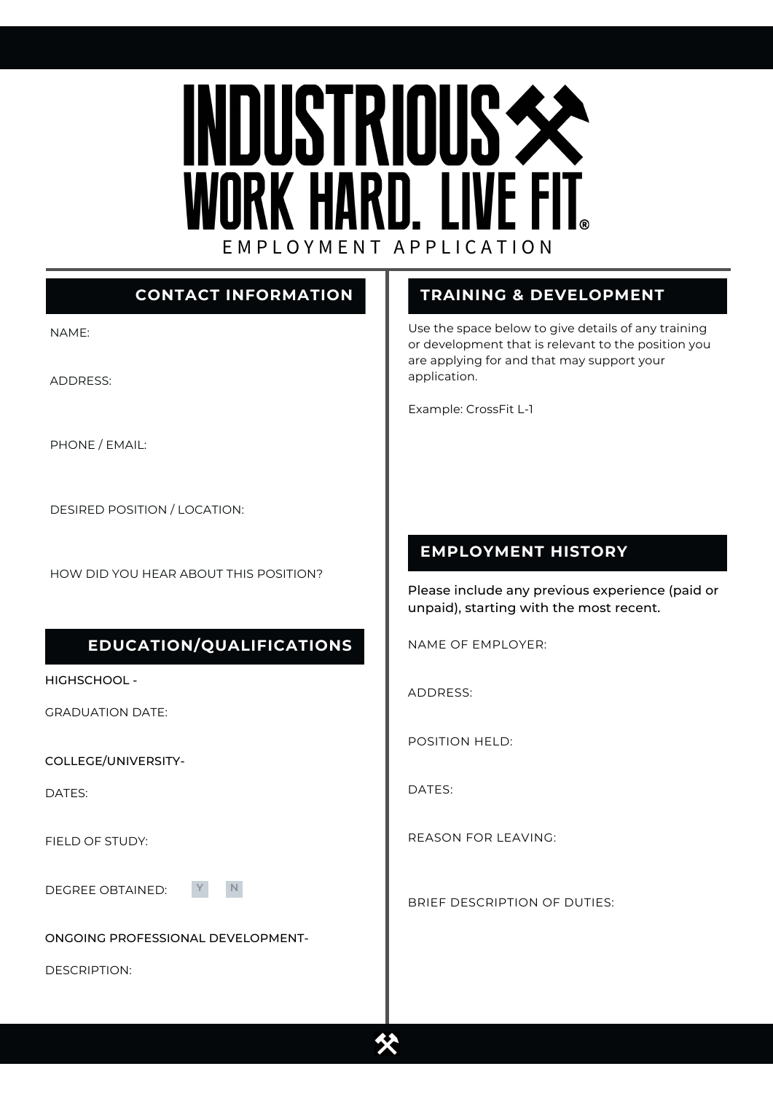# **INDUSTRIOUS SE** WORK HARD. LIVE FIT. E M P L O Y M E N T A P P L I C A T I O N

# **CONTACT INFORMATION**

NAME:

ADDRESS:

PHONE / EMAIL:

DESIRED POSITION / LOCATION:

HOW DID YOU HEAR ABOUT THIS POSITION?

#### **EDUCATION/QUALIFICATIONS**

HIGHSCHOOL -

GRADUATION DATE:

COLLEGE/UNIVERSITY-

DATES:

FIELD OF STUDY:

DEGREE OBTAINED:

**Y N**

ONGOING PROFESSIONAL DEVELOPMENT-

DESCRIPTION:

# **TRAINING & DEVELOPMENT**

Use the space below to give details of any training or development that is relevant to the position you are applying for and that may support your application.

Example: CrossFit L-1

## **EMPLOYMENT HISTORY**

Please include any previous experience (paid or unpaid), starting with the most recent.

NAME OF EMPLOYER:

ADDRESS:

POSITION HELD:

DATES:

REASON FOR LEAVING:

BRIEF DESCRIPTION OF DUTIES:

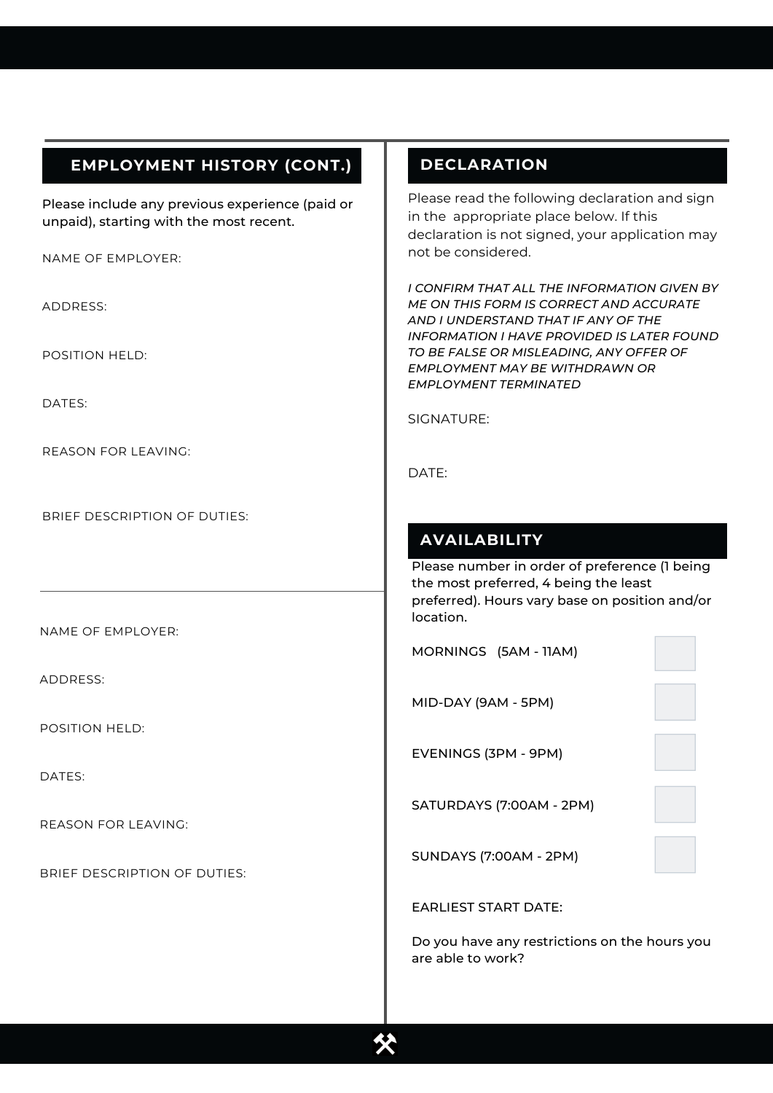#### **EMPLOYMENT HISTORY (CONT.)**

Please include any previous experience (paid or unpaid), starting with the most recent.

NAME OF EMPLOYER:

ADDRESS:

POSITION HELD:

DATES:

REASON FOR LEAVING:

BRIEF DESCRIPTION OF DUTIES:

NAME OF EMPLOYER:

ADDRESS:

POSITION HELD:

DATES:

REASON FOR LEAVING:

BRIEF DESCRIPTION OF DUTIES:

#### **DECLARATION**

Please read the following declaration and sign in the appropriate place below. If this declaration is not signed, your application may not be considered.

*I CONFIRM THAT ALL THE INFORMATION GIVEN BY ME ON THIS FORM IS CORRECT AND ACCURATE AND I UNDERSTAND THAT IF ANY OF THE INFORMATION I HAVE PROVIDED IS LATER FOUND TO BE FALSE OR MISLEADING, ANY OFFER OF EMPLOYMENT MAY BE WITHDRAWN OR EMPLOYMENT TERMINATED*

SIGNATURE:

DATE:

## **AVAILABILITY**

Please number in order of preference (1 being the most preferred, 4 being the least preferred). Hours vary base on position and/or location.

MORNINGS (5AM - 11AM)

MID-DAY (9AM - 5PM)

EVENINGS (3PM - 9PM)

SATURDAYS (7:00AM - 2PM)

SUNDAYS (7:00AM - 2PM)

EARLIEST START DATE:

Do you have any restrictions on the hours you are able to work?